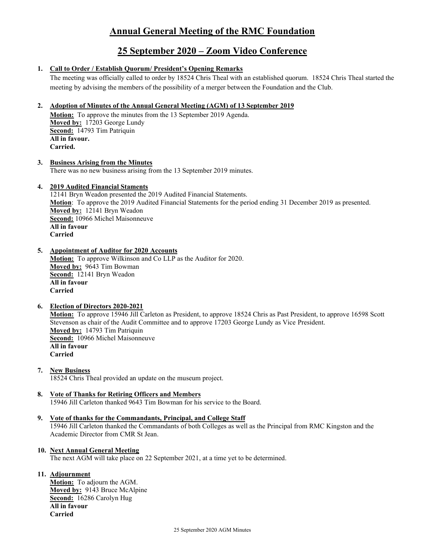# **Annual General Meeting of the RMC Foundation**

# **25 September 2020 – Zoom Video Conference**

### **1. Call to Order / Establish Quorum/ President's Opening Remarks**

The meeting was officially called to order by 18524 Chris Theal with an established quorum. 18524 Chris Theal started the meeting by advising the members of the possibility of a merger between the Foundation and the Club.

### **2. Adoption of Minutes of the Annual General Meeting (AGM) of 13 September 2019**

**Motion:** To approve the minutes from the 13 September 2019 Agenda. **Moved by:** 17203 George Lundy **Second:** 14793 Tim Patriquin **All in favour. Carried.** 

**3. Business Arising from the Minutes** There was no new business arising from the 13 September 2019 minutes.

### **4. 2019 Audited Financial Staments**

12141 Bryn Weadon presented the 2019 Audited Financial Statements. **Motion**: To approve the 2019 Audited Financial Statements for the period ending 31 December 2019 as presented. **Moved by:** 12141 Bryn Weadon **Second:** 10966 Michel Maisonneuve **All in favour Carried**

**5. Appointment of Auditor for 2020 Accounts**

**Motion:** To approve Wilkinson and Co LLP as the Auditor for 2020. **Moved by:** 9643 Tim Bowman **Second:** 12141 Bryn Weadon **All in favour Carried**

#### **6. Election of Directors 2020-2021**

**Motion:** To approve 15946 Jill Carleton as President, to approve 18524 Chris as Past President, to approve 16598 Scott Stevenson as chair of the Audit Committee and to approve 17203 George Lundy as Vice President. **Moved by:** 14793 Tim Patriquin **Second:** 10966 Michel Maisonneuve **All in favour Carried**

**7. New Business**

18524 Chris Theal provided an update on the museum project.

**8. Vote of Thanks for Retiring Officers and Members** 15946 Jill Carleton thanked 9643 Tim Bowman for his service to the Board.

### **9. Vote of thanks for the Commandants, Principal, and College Staff**

15946 Jill Carleton thanked the Commandants of both Colleges as well as the Principal from RMC Kingston and the Academic Director from CMR St Jean.

### **10. Next Annual General Meeting**

The next AGM will take place on 22 September 2021, at a time yet to be determined.

### **11. Adjournment**

**Motion:** To adjourn the AGM. **Moved by:** 9143 Bruce McAlpine **Second:** 16286 Carolyn Hug **All in favour Carried**